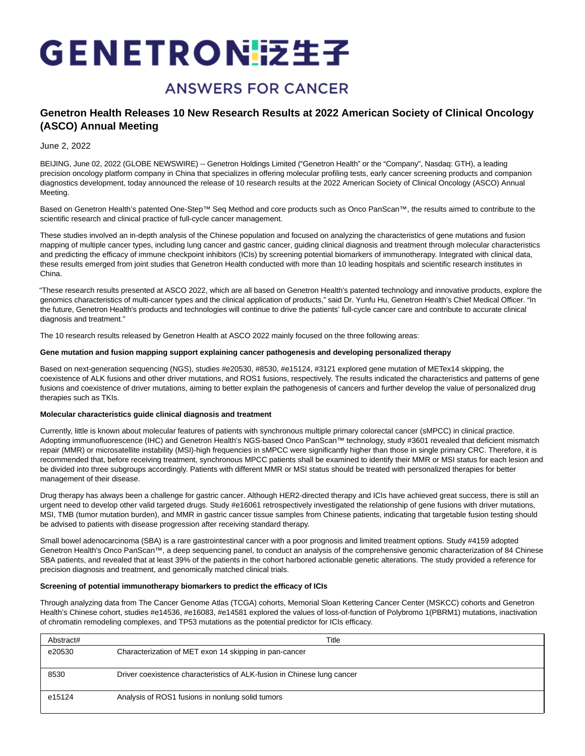# GENETRON技生子

## **ANSWERS FOR CANCER**

### **Genetron Health Releases 10 New Research Results at 2022 American Society of Clinical Oncology (ASCO) Annual Meeting**

#### June 2, 2022

BEIJING, June 02, 2022 (GLOBE NEWSWIRE) -- Genetron Holdings Limited ("Genetron Health" or the "Company", Nasdaq: GTH), a leading precision oncology platform company in China that specializes in offering molecular profiling tests, early cancer screening products and companion diagnostics development, today announced the release of 10 research results at the 2022 American Society of Clinical Oncology (ASCO) Annual Meeting.

Based on Genetron Health's patented One-Step™ Seq Method and core products such as Onco PanScan™, the results aimed to contribute to the scientific research and clinical practice of full-cycle cancer management.

These studies involved an in-depth analysis of the Chinese population and focused on analyzing the characteristics of gene mutations and fusion mapping of multiple cancer types, including lung cancer and gastric cancer, guiding clinical diagnosis and treatment through molecular characteristics and predicting the efficacy of immune checkpoint inhibitors (ICIs) by screening potential biomarkers of immunotherapy. Integrated with clinical data, these results emerged from joint studies that Genetron Health conducted with more than 10 leading hospitals and scientific research institutes in China.

"These research results presented at ASCO 2022, which are all based on Genetron Health's patented technology and innovative products, explore the genomics characteristics of multi-cancer types and the clinical application of products," said Dr. Yunfu Hu, Genetron Health's Chief Medical Officer. "In the future, Genetron Health's products and technologies will continue to drive the patients' full-cycle cancer care and contribute to accurate clinical diagnosis and treatment."

The 10 research results released by Genetron Health at ASCO 2022 mainly focused on the three following areas:

#### **Gene mutation and fusion mapping support explaining cancer pathogenesis and developing personalized therapy**

Based on next-generation sequencing (NGS), studies #e20530, #8530, #e15124, #3121 explored gene mutation of METex14 skipping, the coexistence of ALK fusions and other driver mutations, and ROS1 fusions, respectively. The results indicated the characteristics and patterns of gene fusions and coexistence of driver mutations, aiming to better explain the pathogenesis of cancers and further develop the value of personalized drug therapies such as TKIs.

#### **Molecular characteristics guide clinical diagnosis and treatment**

Currently, little is known about molecular features of patients with synchronous multiple primary colorectal cancer (sMPCC) in clinical practice. Adopting immunofluorescence (IHC) and Genetron Health's NGS-based Onco PanScan™ technology, study #3601 revealed that deficient mismatch repair (MMR) or microsatellite instability (MSI)-high frequencies in sMPCC were significantly higher than those in single primary CRC. Therefore, it is recommended that, before receiving treatment, synchronous MPCC patients shall be examined to identify their MMR or MSI status for each lesion and be divided into three subgroups accordingly. Patients with different MMR or MSI status should be treated with personalized therapies for better management of their disease.

Drug therapy has always been a challenge for gastric cancer. Although HER2-directed therapy and ICIs have achieved great success, there is still an urgent need to develop other valid targeted drugs. Study #e16061 retrospectively investigated the relationship of gene fusions with driver mutations, MSI, TMB (tumor mutation burden), and MMR in gastric cancer tissue samples from Chinese patients, indicating that targetable fusion testing should be advised to patients with disease progression after receiving standard therapy.

Small bowel adenocarcinoma (SBA) is a rare gastrointestinal cancer with a poor prognosis and limited treatment options. Study #4159 adopted Genetron Health's Onco PanScan™, a deep sequencing panel, to conduct an analysis of the comprehensive genomic characterization of 84 Chinese SBA patients, and revealed that at least 39% of the patients in the cohort harbored actionable genetic alterations. The study provided a reference for precision diagnosis and treatment, and genomically matched clinical trials.

#### **Screening of potential immunotherapy biomarkers to predict the efficacy of ICIs**

Through analyzing data from The Cancer Genome Atlas (TCGA) cohorts, Memorial Sloan Kettering Cancer Center (MSKCC) cohorts and Genetron Health's Chinese cohort, studies #e14536, #e16083, #e14581 explored the values of loss-of-function of Polybromo 1(PBRM1) mutations, inactivation of chromatin remodeling complexes, and TP53 mutations as the potential predictor for ICIs efficacy.

| Abstract# | Title                                                                   |
|-----------|-------------------------------------------------------------------------|
| e20530    | Characterization of MET exon 14 skipping in pan-cancer                  |
| 8530      | Driver coexistence characteristics of ALK-fusion in Chinese lung cancer |
| e15124    | Analysis of ROS1 fusions in nonlung solid tumors                        |